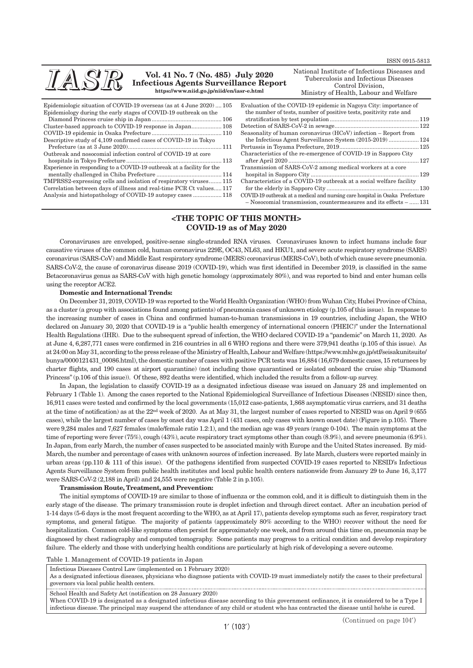| IASR                                                             | Vol. 41 No. 7 (No. 485) July 2020<br><b>Infectious Agents Surveillance Report</b><br>https://www.niid.go.jp/niid/en/iasr-e.html | National Institute of Infectious Diseases and<br>Tuberculosis and Infectious Diseases<br>Control Division,<br>Ministry of Health, Labour and Welfare |  |
|------------------------------------------------------------------|---------------------------------------------------------------------------------------------------------------------------------|------------------------------------------------------------------------------------------------------------------------------------------------------|--|
|                                                                  | Epidemiologic situation of COVID-19 overseas (as at 4 June 2020) 105                                                            | Evaluation of the COVID-19 epidemic in Nagoya City: importance of                                                                                    |  |
| Epidemiology during the early stages of COVID-19 outbreak on the |                                                                                                                                 | the number of tests, number of positive tests, positivity rate and                                                                                   |  |
|                                                                  |                                                                                                                                 |                                                                                                                                                      |  |
|                                                                  |                                                                                                                                 |                                                                                                                                                      |  |
|                                                                  |                                                                                                                                 | Seasonality of human coronavirus $(HCoV)$ infection – Report from                                                                                    |  |
| Descriptive study of 4,109 confirmed cases of COVID-19 in Tokyo  |                                                                                                                                 | the Infectious Agent Surveillance System (2015-2019)  124                                                                                            |  |
|                                                                  | Prefecture (as at $3 \text{ June } 2020$ ) $111$                                                                                | Pertussis in Tovama Prefecture 2019                                                                                                                  |  |

Outbreak and nosocomial infection control of COVID-19 at core hospitals in Tokyo Prefecture ............................................................ 113 Experience in responding to a COVID-19 outbreak at a facility for the mentally challenged in Chiba Prefecture ......................................... 114

TMPRSS2-expressing cells and isolation of respiratory viruses........ 115 Correlation between days of illness and real-time PCR Ct values..... 117 Analysis and histopathology of COVID-19 autopsy cases .................. 118

Report from the Infectious Agent Surveillance System (2015-2019) ................... 124 Pertussis in Toyama Prefecture, 2019.................................................. 125 Characteristics of the re-emergence of COVID-19 in Sapporo City after April 2020 .................................................................................. 127 Transmission of SARS-CoV-2 among medical workers at a core hospital in Sapporo City .................................................................... 129 Characteristics of a COVID-19 outbreak at a social welfare facility for the elderly in Sapporo City .......................................................... 130 COVID-19 outbreak at a medical and nursing care hospital in Osaka Prefecture

– Nosocomial transmission, countermeasures and its effects – ...... 131

# **<THE TOPIC OF THIS MONTH> COVID-19 as of May 2020**

Coronaviruses are enveloped, positive-sense single-stranded RNA viruses. Coronaviruses known to infect humans include four causative viruses of the common cold, human coronavirus 229E, OC43, NL63, and HKU1, and severe acute respiratory syndrome (SARS) coronavirus (SARS-CoV) and Middle East respiratory syndrome (MERS) coronavirus (MERS-CoV), both of which cause severe pneumonia. SARS-CoV-2, the cause of coronavirus disease 2019 (COVID-19), which was first identified in December 2019, is classified in the same Betacoronavirus genus as SARS-CoV with high genetic homology (approximately 80%), and was reported to bind and enter human cells using the receptor ACE2.

# **Domestic and International Trends:**

On December 31, 2019, COVID-19 was reported to the World Health Organization (WHO) from Wuhan City, Hubei Province of China, as a cluster (a group with associations found among patients) of pneumonia cases of unknown etiology (p.105 of this issue). In response to the increasing number of cases in China and confirmed human-to-human transmissions in 19 countries, including Japan, the WHO declared on January 30, 2020 that COVID-19 is a "public health emergency of international concern (PHEIC)" under the International Health Regulations (IHR). Due to the subsequent spread of infection, the WHO declared COVID-19 a "pandemic" on March 11, 2020. As at June 4, 6,287,771 cases were confirmed in 216 countries in all 6 WHO regions and there were 379,941 deaths (p.105 of this issue). As at 24:00 on May 31, according to the press release of the Ministry of Health, Labour and Welfare [\(https://www.mhlw.go.jp/stf/seisakunitsuite/](https://www.mhlw.go.jp/stf/seisakunitsuite/bunya/0000121431_00086.html) [bunya/0000121431\\_00086.html\),](https://www.mhlw.go.jp/stf/seisakunitsuite/bunya/0000121431_00086.html) the domestic number of cases with positive PCR tests was 16,884 (16,679 domestic cases, 15 returnees by charter flights, and 190 cases at airport quarantine) (not including those quarantined or isolated onboard the cruise ship "Diamond Princess" (p.106 of this issue)). Of these, 892 deaths were identified, which included the results from a follow-up survey.

In Japan, the legislation to classify COVID-19 as a designated infectious disease was issued on January 28 and implemented on February 1 (Table 1). Among the cases reported to the National Epidemiological Surveillance of Infectious Diseases (NESID) since then, 16,911 cases were tested and confirmed by the local governments (15,012 case-patients, 1,868 asymptomatic virus carriers, and 31 deaths at the time of notification) as at the 22nd week of 2020. As at May 31, the largest number of cases reported to NESID was on April 9 (655 cases), while the largest number of cases by onset day was April 1 (431 cases, only cases with known onset date) (Figure in p.105). There were 9,284 males and 7,627 females (male/female ratio 1.2:1), and the median age was 49 years (range 0-104). The main symptoms at the time of reporting were fever (75%), cough (43%), acute respiratory tract symptoms other than cough (8.9%), and severe pneumonia (6.9%). In Japan, from early March, the number of cases suspected to be associated mainly with Europe and the United States increased. By mid-March, the number and percentage of cases with unknown sources of infection increased. By late March, clusters were reported mainly in urban areas (pp.110 & 111 of this issue). Of the pathogens identified from suspected COVID-19 cases reported to NESID's Infectious Agents Surveillance System from public health institutes and local public health centers nationwide from January 29 to June 16, 3,177 were SARS-CoV-2 (2,188 in April) and 24,555 were negative (Table 2 in p.105).

### **Transmission Route, Treatment, and Prevention:**

The initial symptoms of COVID-19 are similar to those of influenza or the common cold, and it is difficult to distinguish them in the early stage of the disease. The primary transmission route is droplet infection and through direct contact. After an incubation period of 1-14 days (5-6 days is the most frequent according to the WHO, as at April 17), patients develop symptoms such as fever, respiratory tract symptoms, and general fatigue. The majority of patients (approximately 80% according to the WHO) recover without the need for hospitalization. Common cold-like symptoms often persist for approximately one week, and from around this time on, pneumonia may be diagnosed by chest radiography and computed tomography. Some patients may progress to a critical condition and develop respiratory failure. The elderly and those with underlying health conditions are particularly at high risk of developing a severe outcome.

Table 1. Management of COVID-19 patients in Japan

Infectious Diseases Control Law (implemented on 1 February 2020)

As a designated infectious diseases, physicians who diagnose patients with COVID-19 must immediately notify the cases to their prefectural governors via local public health centers.

School Health and Safety Act (notification on 28 January 2020)

When COVID-19 is designated as a designated infectious disease according to this government ordinance, it is considered to be a Type I infectious disease. The principal may suspend the attendance of any child or student who has contracted the disease until he/she is cured.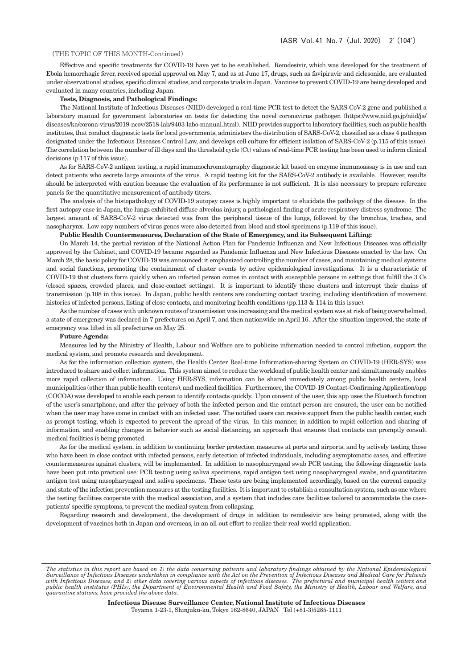# (THE TOPIC OF THIS MONTH-Continued)

Effective and specific treatments for COVID-19 have yet to be established. Remdesivir, which was developed for the treatment of Ebola hemorrhagic fever, received special approval on May 7, and as at June 17, drugs, such as favipiravir and ciclesonide, are evaluated under observational studies, specific clinical studies, and corporate trials in Japan. Vaccines to prevent COVID-19 are being developed and evaluated in many countries, including Japan.

# **Tests, Diagnosis, and Pathological Findings:**

The National Institute of Infectious Diseases (NIID) developed a real-time PCR test to detect the SARS-CoV-2 gene and published a laboratory manual for government laboratories on tests for detecting the novel coronavirus pathogen [\(https://www.niid.go.jp/niid/ja/](https://www.niid.go.jp/niid/ja/diseases/ka/corona-virus/2019-ncov/2518-lab/9403-labo-manual.html) [diseases/ka/corona-virus/2019-ncov/2518-lab/9403-labo-manual.html\).](https://www.niid.go.jp/niid/ja/diseases/ka/corona-virus/2019-ncov/2518-lab/9403-labo-manual.html) NIID provides support to laboratory facilities, such as public health institutes, that conduct diagnostic tests for local governments, administers the distribution of SARS-CoV-2, classified as a class 4 pathogen designated under the Infectious Diseases Control Law, and develops cell culture for efficient isolation of SARS-CoV-2 (p.115 of this issue). The correlation between the number of ill days and the threshold cycle (Ct) values of real-time PCR testing has been used to inform clinical decisions (p.117 of this issue).

As for SARS-CoV-2 antigen testing, a rapid immunochromatography diagnostic kit based on enzyme immunoassay is in use and can detect patients who secrete large amounts of the virus. A rapid testing kit for the SARS-CoV-2 antibody is available. However, results should be interpreted with caution because the evaluation of its performance is not sufficient. It is also necessary to prepare reference panels for the quantitative measurement of antibody titers.

The analysis of the histopathology of COVID-19 autopsy cases is highly important to elucidate the pathology of the disease. In the first autopsy case in Japan, the lungs exhibited diffuse alveolus injury, a pathological finding of acute respiratory distress syndrome. The largest amount of SARS-CoV-2 virus detected was from the peripheral tissue of the lungs, followed by the bronchus, trachea, and nasopharynx. Low copy numbers of virus genes were also detected from blood and stool specimens (p.119 of this issue).

### **Public Health Countermeasures, Declaration of the State of Emergency, and its Subsequent Lifting:**

On March 14, the partial revision of the National Action Plan for Pandemic Influenza and New Infectious Diseases was officially approved by the Cabinet, and COVID-19 became regarded as Pandemic Influenza and New Infectious Diseases enacted by the law. On March 28, the basic policy for COVID-19 was announced: it emphasized controlling the number of cases, and maintaining medical systems and social functions, promoting the containment of cluster events by active epidemiological investigations. It is a characteristic of COVID-19 that clusters form quickly when an infected person comes in contact with susceptible persons in settings that fulfill the 3 Cs (closed spaces, crowded places, and close-contact settings). It is important to identify these clusters and interrupt their chains of transmission (p.108 in this issue). In Japan, public health centers are conducting contact tracing, including identification of movement histories of infected persons, listing of close contacts, and monitoring health conditions (pp.113 & 114 in this issue).

As the number of cases with unknown routes of transmission was increasing and the medical system was at risk of being overwhelmed, a state of emergency was declared in 7 prefectures on April 7, and then nationwide on April 16. After the situation improved, the state of emergency was lifted in all prefectures on May 25.

### **Future Agenda:**

Measures led by the Ministry of Health, Labour and Welfare are to publicize information needed to control infection, support the medical system, and promote research and development.

As for the information collection system, the Health Center Real-time Information-sharing System on COVID-19 (HER-SYS) was introduced to share and collect information. This system aimed to reduce the workload of public health center and simultaneously enables more rapid collection of information. Using HER-SYS, information can be shared immediately among public health centers, local municipalities (other than public health centers), and medical facilities. Furthermore, the COVID-19 Contact-Confirming Application/app (COCOA) was developed to enable each person to identify contacts quickly. Upon consent of the user, this app uses the Bluetooth function of the user's smartphone, and after the privacy of both the infected person and the contact person are ensured, the user can be notified when the user may have come in contact with an infected user. The notified users can receive support from the public health center, such as prompt testing, which is expected to prevent the spread of the virus. In this manner, in addition to rapid collection and sharing of information, and enabling changes in behavior such as social distancing, an approach that ensures that contacts can promptly consult medical facilities is being promoted.

As for the medical system, in addition to continuing border protection measures at ports and airports, and by actively testing those who have been in close contact with infected persons, early detection of infected individuals, including asymptomatic cases, and effective countermeasures against clusters, will be implemented. In addition to nasopharyngeal swab PCR testing, the following diagnostic tests have been put into practical use: PCR testing using saliva specimens, rapid antigen test using nasopharyngeal swabs, and quantitative antigen test using nasopharyngeal and saliva specimens. These tests are being implemented accordingly, based on the current capacity and state of the infection prevention measures at the testing facilities. It is important to establish a consultation system, such as one where the testing facilities cooperate with the medical association, and a system that includes care facilities tailored to accommodate the casepatients' specific symptoms, to prevent the medical system from collapsing.

Regarding research and development, the development of drugs in addition to remdesivir are being promoted, along with the development of vaccines both in Japan and overseas, in an all-out effort to realize their real-world application.

**Infectious Disease Surveillance Center, National Institute of Infectious Diseases** Toyama 1-23-1, Shinjuku-ku, Tokyo 162-8640, JAPAN Tel (+81-3)5285-1111

*The statistics in this report are based on 1) the data concerning patients and laboratory findings obtained by the National Epidemiological*  Surveillance of Infectious Diseases undertaken in compliance with the Act on the Prevention of Infectious Diseases and Medical Care for Patients<br>with Infectious Diseases, and 2) other data covering various aspects of infec *public health institutes (PHIs), the Department of Environmental Health and Food Safety, the Ministry of Health, Labour and Welfare, and quarantine stations, have provided the above data.*